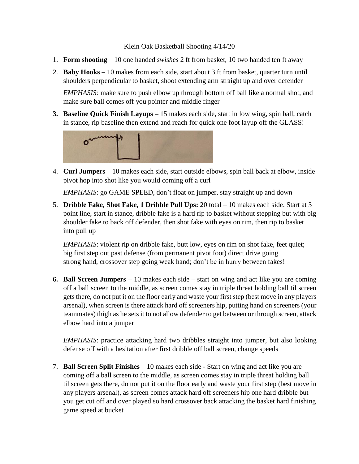## Klein Oak Basketball Shooting 4/14/20

- 1. **Form shooting** 10 one handed *swishes* 2 ft from basket, 10 two handed ten ft away
- 2. **Baby Hooks** 10 makes from each side, start about 3 ft from basket, quarter turn until shoulders perpendicular to basket, shoot extending arm straight up and over defender

*EMPHASIS:* make sure to push elbow up through bottom off ball like a normal shot, and make sure ball comes off you pointer and middle finger

**3. Baseline Quick Finish Layups –** 15 makes each side, start in low wing, spin ball, catch in stance, rip baseline then extend and reach for quick one foot layup off the GLASS!



4. **Curl Jumpers** – 10 makes each side, start outside elbows, spin ball back at elbow, inside pivot hop into shot like you would coming off a curl

*EMPHASIS*: go GAME SPEED, don't float on jumper, stay straight up and down

5. **Dribble Fake, Shot Fake, 1 Dribble Pull Ups:** 20 total – 10 makes each side. Start at 3 point line, start in stance, dribble fake is a hard rip to basket without stepping but with big shoulder fake to back off defender, then shot fake with eyes on rim, then rip to basket into pull up

*EMPHASIS*: violent rip on dribble fake, butt low, eyes on rim on shot fake, feet quiet; big first step out past defense (from permanent pivot foot) direct drive going strong hand, crossover step going weak hand; don't be in hurry between fakes!

**6. Ball Screen Jumpers –** 10 makes each side – start on wing and act like you are coming off a ball screen to the middle, as screen comes stay in triple threat holding ball til screen gets there, do not put it on the floor early and waste your first step (best move in any players arsenal), when screen is there attack hard off screeners hip, putting hand on screeners (your teammates) thigh as he sets it to not allow defender to get between or through screen, attack elbow hard into a jumper

*EMPHASIS*: practice attacking hard two dribbles straight into jumper, but also looking defense off with a hesitation after first dribble off ball screen, change speeds

7. **Ball Screen Split Finishes** – 10 makes each side - Start on wing and act like you are coming off a ball screen to the middle, as screen comes stay in triple threat holding ball til screen gets there, do not put it on the floor early and waste your first step (best move in any players arsenal), as screen comes attack hard off screeners hip one hard dribble but you get cut off and over played so hard crossover back attacking the basket hard finishing game speed at bucket